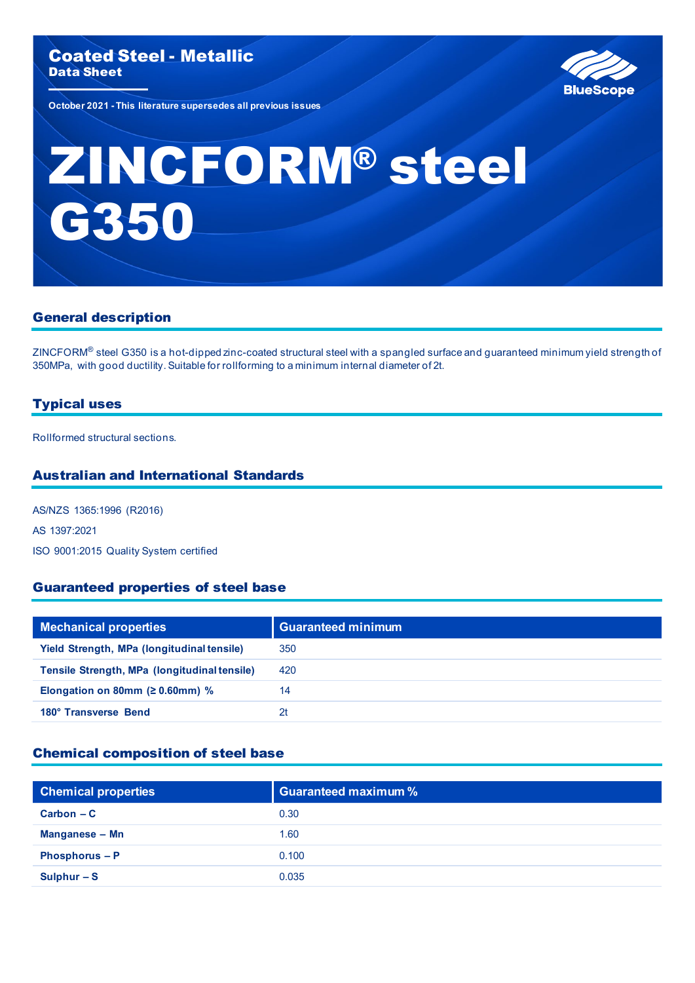

**October 2021 - This literature supersedes all previous issues**

# ZINCFORM® steel G350

# General description

ZINCFORM® steel G350 is a hot-dipped zinc-coated structural steel with a spangled surface and guaranteed minimum yield strength of 350MPa, with good ductility. Suitable for rollforming to a minimum internal diameter of 2t.

## Typical uses

Rollformed structural sections.

## Australian and International Standards

AS/NZS 1365:1996 (R2016) AS 1397:2021 ISO 9001:2015 Quality System certified

## Guaranteed properties of steel base

| <b>Mechanical properties</b>                 | <b>Guaranteed minimum</b> |
|----------------------------------------------|---------------------------|
| Yield Strength, MPa (longitudinal tensile)   | 350                       |
| Tensile Strength, MPa (longitudinal tensile) | 420                       |
| Elongation on 80mm ( $\geq 0.60$ mm) %       | 14                        |
| 180° Transverse Bend                         | 2t                        |

## Chemical composition of steel base

| <b>Chemical properties</b> | <b>Guaranteed maximum %</b> |
|----------------------------|-----------------------------|
| $Carbon - C$               | 0.30                        |
| Manganese - Mn             | 1.60                        |
| Phosphorus - P             | 0.100                       |
| Sulphur $-S$               | 0.035                       |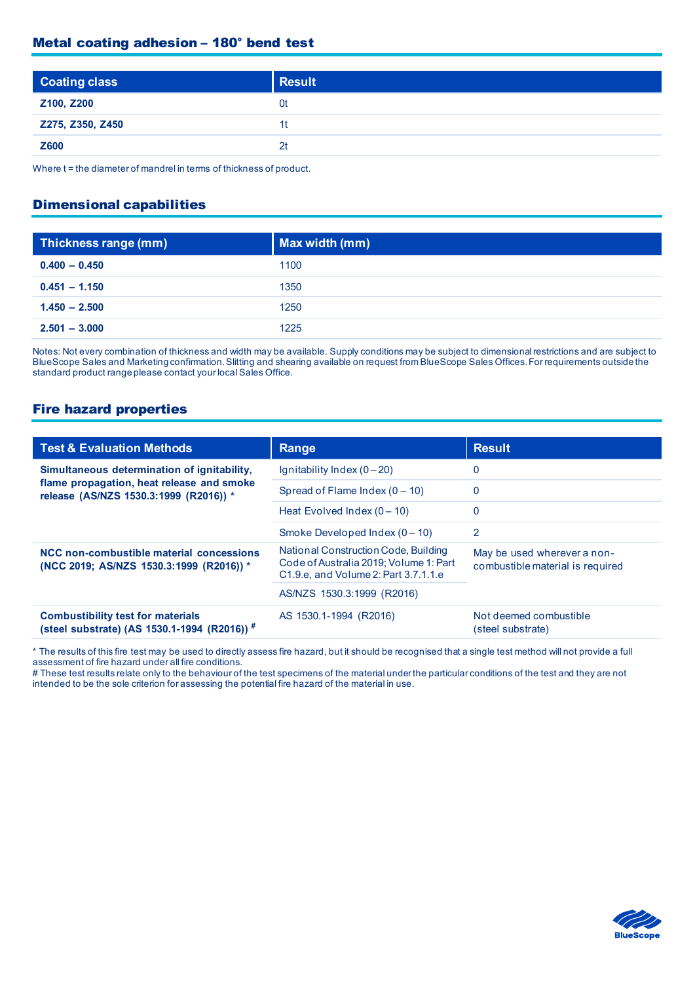## Metal coating adhesion – 180° bend test

| <b>Coating class</b> | <b>Result</b>  |
|----------------------|----------------|
| Z100, Z200           | 0t             |
| Z275, Z350, Z450     | 11             |
| <b>Z600</b>          | 2 <sub>t</sub> |
|                      |                |

Where t = the diameter of mandrel in terms of thickness of product.

#### Dimensional capabilities

| Thickness range (mm) | Max width (mm) |
|----------------------|----------------|
| $0.400 - 0.450$      | 1100           |
| $0.451 - 1.150$      | 1350           |
| $1.450 - 2.500$      | 1250           |
| $2.501 - 3.000$      | 1225           |

Notes: Not every combination of thickness and width may be available. Supply conditions may be subject to dimensional restrictions and are subject to BlueScope Sales and Marketing confirmation. Slitting and shearing available on request from BlueScope Sales Offices. For requirements outside the standard product range please contact your local Sales Office.

#### Fire hazard properties

| <b>Test &amp; Evaluation Methods</b>                                                                                               | Range                                                                                                                  | <b>Result</b>                                                   |
|------------------------------------------------------------------------------------------------------------------------------------|------------------------------------------------------------------------------------------------------------------------|-----------------------------------------------------------------|
| Simultaneous determination of ignitability,<br>flame propagation, heat release and smoke<br>release (AS/NZS 1530.3:1999 (R2016)) * | Ignitability Index $(0-20)$                                                                                            | 0                                                               |
|                                                                                                                                    | Spread of Flame Index $(0 - 10)$                                                                                       | 0                                                               |
|                                                                                                                                    | Heat Evolved Index $(0 - 10)$                                                                                          | 0                                                               |
|                                                                                                                                    | Smoke Developed Index $(0 - 10)$                                                                                       | 2                                                               |
| NCC non-combustible material concessions<br>(NCC 2019; AS/NZS 1530.3:1999 (R2016)) *                                               | National Construction Code, Building<br>Code of Australia 2019; Volume 1: Part<br>C1.9.e, and Volume 2: Part 3.7.1.1.e | May be used wherever a non-<br>combustible material is required |
|                                                                                                                                    | AS/NZS 1530.3:1999 (R2016)                                                                                             |                                                                 |
| <b>Combustibility test for materials</b><br>(steel substrate) (AS 1530.1-1994 (R2016)) <sup>#</sup>                                | AS 1530.1-1994 (R2016)                                                                                                 | Not deemed combustible<br>(steel substrate)                     |

\* The results of this fire test may be used to directly assess fire hazard, but it should be recognised that a single test method will not provide a full assessment of fire hazard under all fire conditions.

# These test results relate only to the behaviour of the test specimens of the material under the particular conditions of the test and they are not intended to be the sole criterion for assessing the potential fire hazard of the material in use.